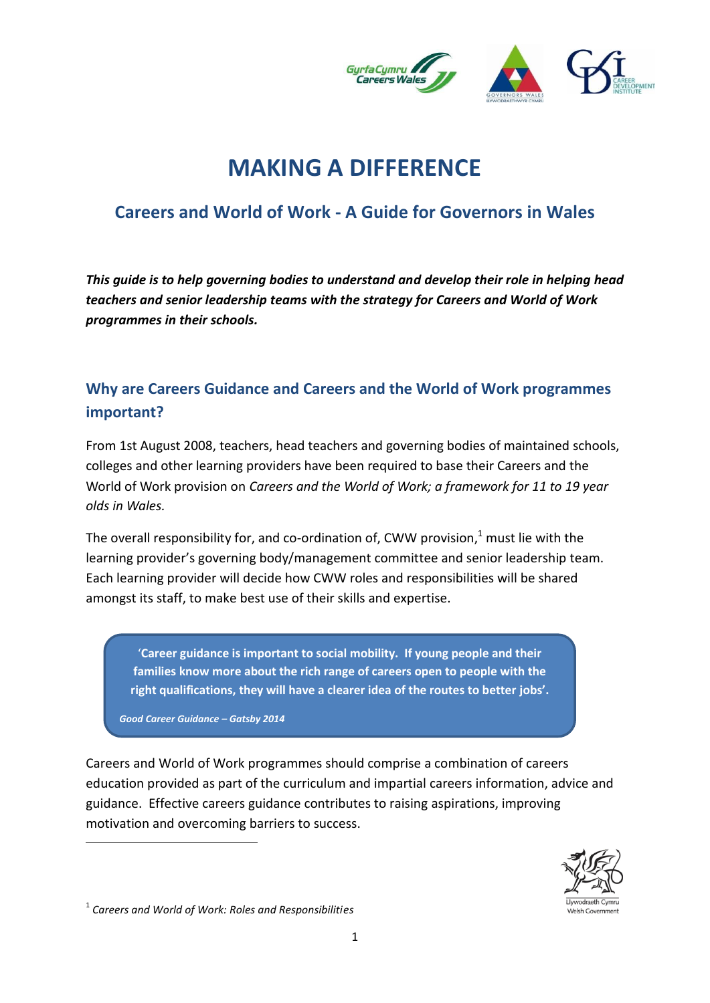

# **MAKING A DIFFERENCE**

## **Careers and World of Work - A Guide for Governors in Wales**

*This guide is to help governing bodies to understand and develop their role in helping head teachers and senior leadership teams with the strategy for Careers and World of Work programmes in their schools.*

## **Why are Careers Guidance and Careers and the World of Work programmes important?**

From 1st August 2008, teachers, head teachers and governing bodies of maintained schools, colleges and other learning providers have been required to base their Careers and the World of Work provision on *Careers and the World of Work; a framework for 11 to 19 year olds in Wales.*

The overall responsibility for, and co-ordination of, CWW provision, $^{1}$  must lie with the learning provider's governing body/management committee and senior leadership team. Each learning provider will decide how CWW roles and responsibilities will be shared amongst its staff, to make best use of their skills and expertise.

'**Career guidance is important to social mobility. If young people and their families know more about the rich range of careers open to people with the right qualifications, they will have a clearer idea of the routes to better jobs'.**

*Good Career Guidance – Gatsby 2014*

**.** 

Careers and World of Work programmes should comprise a combination of careers education provided as part of the curriculum and impartial careers information, advice and guidance. Effective careers guidance contributes to raising aspirations, improving motivation and overcoming barriers to success.



<sup>1</sup> *Careers and World of Work: Roles and Responsibilities*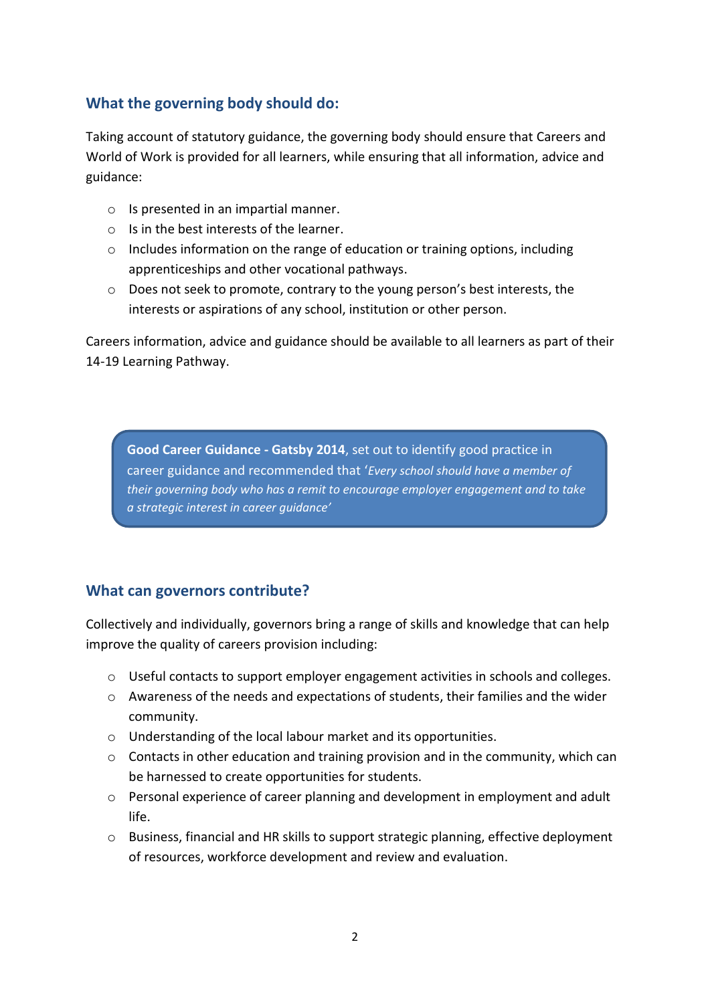#### **What the governing body should do:**

Taking account of statutory guidance, the governing body should ensure that Careers and World of Work is provided for all learners, while ensuring that all information, advice and guidance:

- o Is presented in an impartial manner.
- o Is in the best interests of the learner.
- o Includes information on the range of education or training options, including apprenticeships and other vocational pathways.
- $\circ$  Does not seek to promote, contrary to the young person's best interests, the interests or aspirations of any school, institution or other person.

Careers information, advice and guidance should be available to all learners as part of their 14-19 Learning Pathway.

**Good Career Guidance - Gatsby 2014**, set out to identify good practice in career guidance and recommended that '*Every school should have a member of their governing body who has a remit to encourage employer engagement and to take a strategic interest in career guidance'*

#### **What can governors contribute?**

Collectively and individually, governors bring a range of skills and knowledge that can help improve the quality of careers provision including:

- $\circ$  Useful contacts to support employer engagement activities in schools and colleges.
- o Awareness of the needs and expectations of students, their families and the wider community.
- o Understanding of the local labour market and its opportunities.
- $\circ$  Contacts in other education and training provision and in the community, which can be harnessed to create opportunities for students.
- o Personal experience of career planning and development in employment and adult life.
- o Business, financial and HR skills to support strategic planning, effective deployment of resources, workforce development and review and evaluation.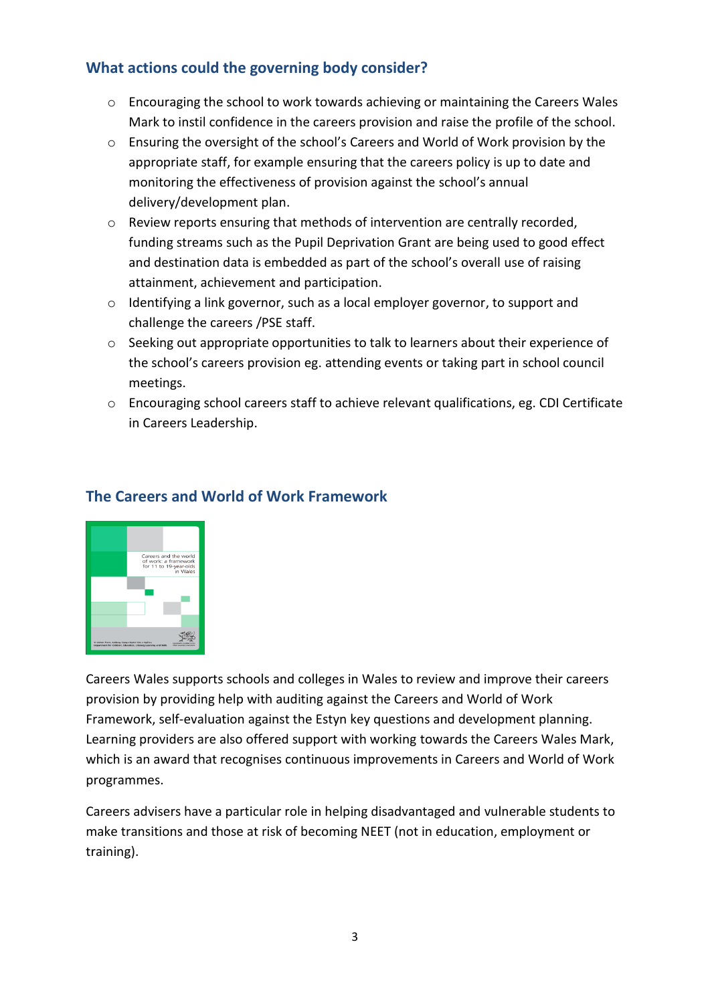### **What actions could the governing body consider?**

- o Encouraging the school to work towards achieving or maintaining the Careers Wales Mark to instil confidence in the careers provision and raise the profile of the school.
- o Ensuring the oversight of the school's Careers and World of Work provision by the appropriate staff, for example ensuring that the careers policy is up to date and monitoring the effectiveness of provision against the school's annual delivery/development plan.
- o Review reports ensuring that methods of intervention are centrally recorded, funding streams such as the Pupil Deprivation Grant are being used to good effect and destination data is embedded as part of the school's overall use of raising attainment, achievement and participation.
- o Identifying a link governor, such as a local employer governor, to support and challenge the careers /PSE staff.
- $\circ$  Seeking out appropriate opportunities to talk to learners about their experience of the school's careers provision eg. attending events or taking part in school council meetings.
- o Encouraging school careers staff to achieve relevant qualifications, eg. CDI Certificate in Careers Leadership.



## **The Careers and World of Work Framework**

Careers Wales supports schools and colleges in Wales to review and improve their careers provision by providing help with auditing against the Careers and World of Work Framework, self-evaluation against the Estyn key questions and development planning. Learning providers are also offered support with working towards the Careers Wales Mark, which is an award that recognises continuous improvements in Careers and World of Work programmes.

Careers advisers have a particular role in helping disadvantaged and vulnerable students to make transitions and those at risk of becoming NEET (not in education, employment or training).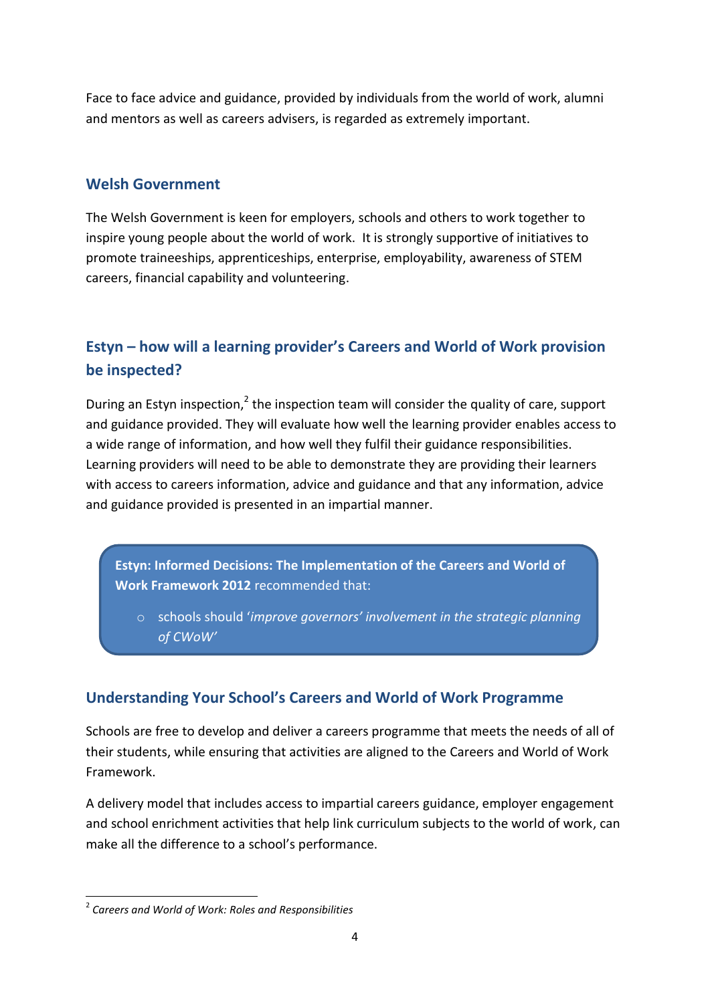Face to face advice and guidance, provided by individuals from the world of work, alumni and mentors as well as careers advisers, is regarded as extremely important.

#### **Welsh Government**

The Welsh Government is keen for employers, schools and others to work together to inspire young people about the world of work. It is strongly supportive of initiatives to promote traineeships, apprenticeships, enterprise, employability, awareness of STEM careers, financial capability and volunteering.

## **Estyn – how will a learning provider's Careers and World of Work provision be inspected?**

During an Estyn inspection, $2$  the inspection team will consider the quality of care, support and guidance provided. They will evaluate how well the learning provider enables access to a wide range of information, and how well they fulfil their guidance responsibilities. Learning providers will need to be able to demonstrate they are providing their learners with access to careers information, advice and guidance and that any information, advice and guidance provided is presented in an impartial manner.

**Estyn: Informed Decisions: The Implementation of the Careers and World of Work Framework 2012** recommended that:

o schools should '*improve governors' involvement in the strategic planning of CWoW'* 

## **Understanding Your School's Careers and World of Work Programme**

Schools are free to develop and deliver a careers programme that meets the needs of all of their students, while ensuring that activities are aligned to the Careers and World of Work Framework.

A delivery model that includes access to impartial careers guidance, employer engagement and school enrichment activities that help link curriculum subjects to the world of work, can make all the difference to a school's performance.

**<sup>.</sup>** 2 *Careers and World of Work: Roles and Responsibilities*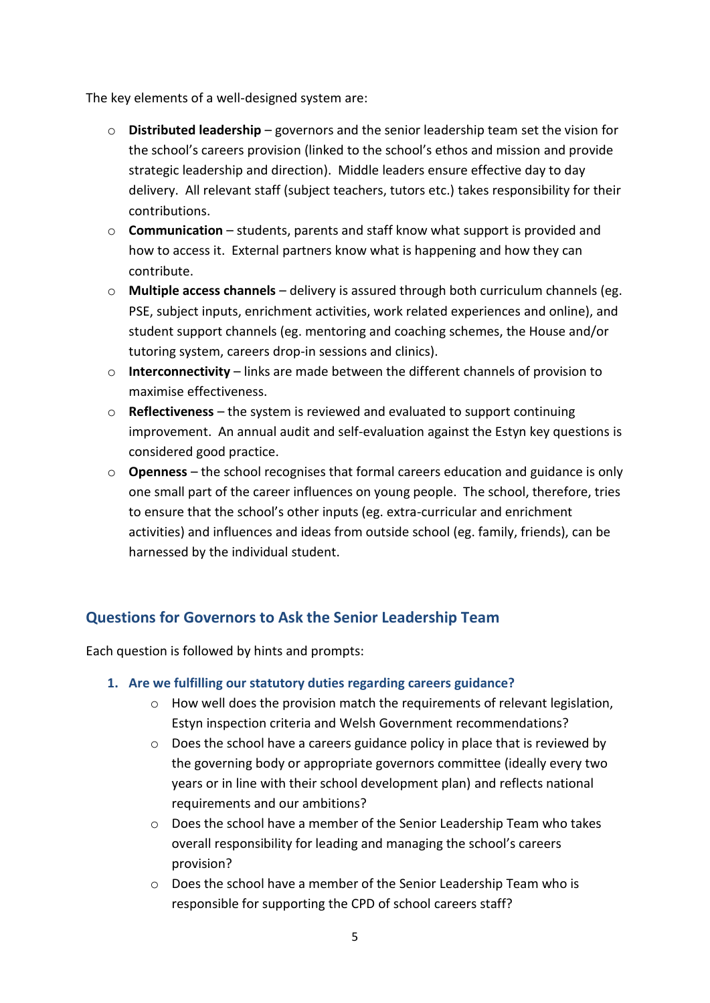The key elements of a well-designed system are:

- o **Distributed leadership** governors and the senior leadership team set the vision for the school's careers provision (linked to the school's ethos and mission and provide strategic leadership and direction). Middle leaders ensure effective day to day delivery. All relevant staff (subject teachers, tutors etc.) takes responsibility for their contributions.
- o **Communication** students, parents and staff know what support is provided and how to access it. External partners know what is happening and how they can contribute.
- o **Multiple access channels** delivery is assured through both curriculum channels (eg. PSE, subject inputs, enrichment activities, work related experiences and online), and student support channels (eg. mentoring and coaching schemes, the House and/or tutoring system, careers drop-in sessions and clinics).
- o **Interconnectivity**  links are made between the different channels of provision to maximise effectiveness.
- o **Reflectiveness** the system is reviewed and evaluated to support continuing improvement. An annual audit and self-evaluation against the Estyn key questions is considered good practice.
- o **Openness**  the school recognises that formal careers education and guidance is only one small part of the career influences on young people. The school, therefore, tries to ensure that the school's other inputs (eg. extra-curricular and enrichment activities) and influences and ideas from outside school (eg. family, friends), can be harnessed by the individual student.

### **Questions for Governors to Ask the Senior Leadership Team**

Each question is followed by hints and prompts:

#### **1. Are we fulfilling our statutory duties regarding careers guidance?**

- $\circ$  How well does the provision match the requirements of relevant legislation, Estyn inspection criteria and Welsh Government recommendations?
- $\circ$  Does the school have a careers guidance policy in place that is reviewed by the governing body or appropriate governors committee (ideally every two years or in line with their school development plan) and reflects national requirements and our ambitions?
- $\circ$  Does the school have a member of the Senior Leadership Team who takes overall responsibility for leading and managing the school's careers provision?
- o Does the school have a member of the Senior Leadership Team who is responsible for supporting the CPD of school careers staff?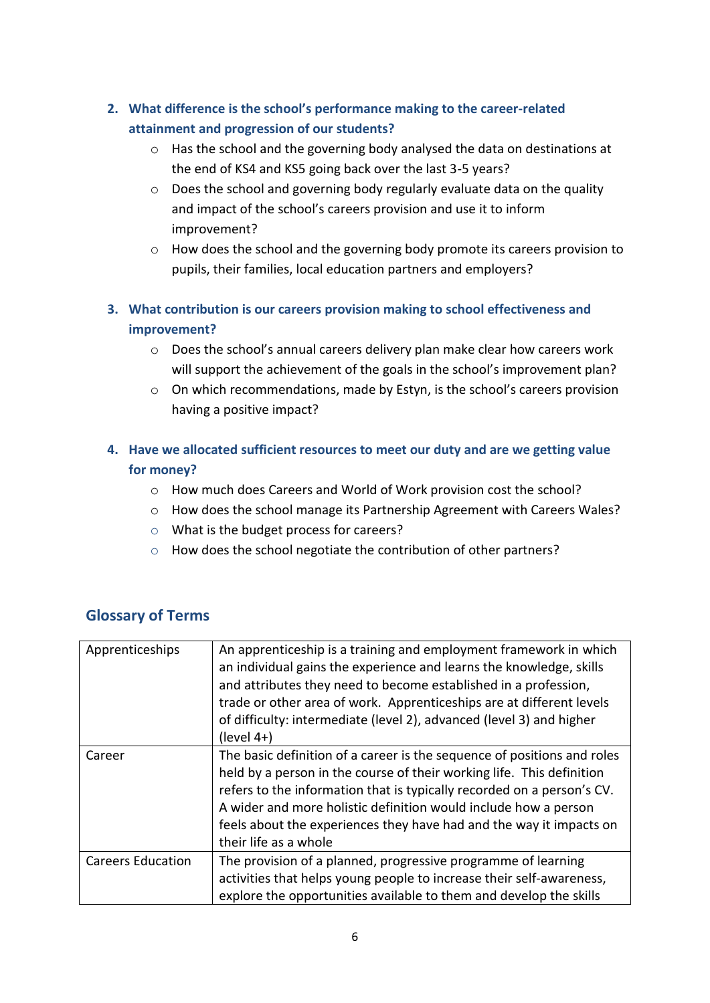- **2. What difference is the school's performance making to the career-related attainment and progression of our students?**
	- o Has the school and the governing body analysed the data on destinations at the end of KS4 and KS5 going back over the last 3-5 years?
	- o Does the school and governing body regularly evaluate data on the quality and impact of the school's careers provision and use it to inform improvement?
	- o How does the school and the governing body promote its careers provision to pupils, their families, local education partners and employers?
- **3. What contribution is our careers provision making to school effectiveness and improvement?**
	- o Does the school's annual careers delivery plan make clear how careers work will support the achievement of the goals in the school's improvement plan?
	- o On which recommendations, made by Estyn, is the school's careers provision having a positive impact?

#### **4. Have we allocated sufficient resources to meet our duty and are we getting value for money?**

- o How much does Careers and World of Work provision cost the school?
- o How does the school manage its Partnership Agreement with Careers Wales?
- o What is the budget process for careers?
- o How does the school negotiate the contribution of other partners?

| <b>Glossary of Terms</b> |  |
|--------------------------|--|
|--------------------------|--|

| Apprenticeships          | An apprenticeship is a training and employment framework in which<br>an individual gains the experience and learns the knowledge, skills<br>and attributes they need to become established in a profession,<br>trade or other area of work. Apprenticeships are at different levels<br>of difficulty: intermediate (level 2), advanced (level 3) and higher<br>$(level 4+)$                   |
|--------------------------|-----------------------------------------------------------------------------------------------------------------------------------------------------------------------------------------------------------------------------------------------------------------------------------------------------------------------------------------------------------------------------------------------|
| Career                   | The basic definition of a career is the sequence of positions and roles<br>held by a person in the course of their working life. This definition<br>refers to the information that is typically recorded on a person's CV.<br>A wider and more holistic definition would include how a person<br>feels about the experiences they have had and the way it impacts on<br>their life as a whole |
| <b>Careers Education</b> | The provision of a planned, progressive programme of learning<br>activities that helps young people to increase their self-awareness,<br>explore the opportunities available to them and develop the skills                                                                                                                                                                                   |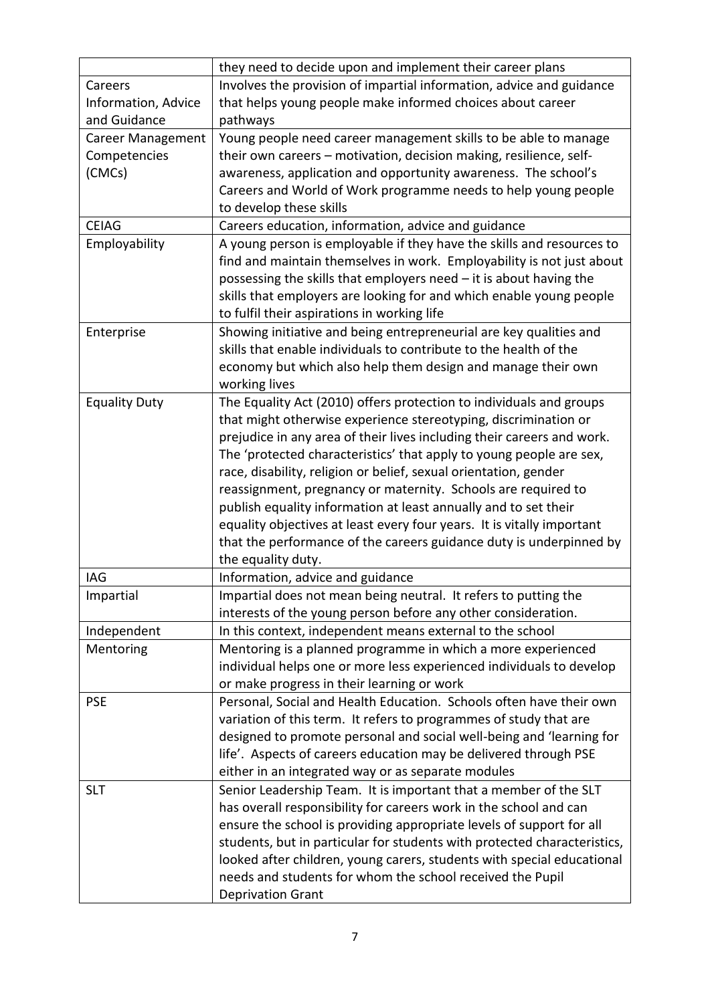|                          | they need to decide upon and implement their career plans                |
|--------------------------|--------------------------------------------------------------------------|
| Careers                  | Involves the provision of impartial information, advice and guidance     |
| Information, Advice      | that helps young people make informed choices about career               |
| and Guidance             | pathways                                                                 |
| <b>Career Management</b> | Young people need career management skills to be able to manage          |
| Competencies             | their own careers – motivation, decision making, resilience, self-       |
| (CMCs)                   | awareness, application and opportunity awareness. The school's           |
|                          | Careers and World of Work programme needs to help young people           |
|                          | to develop these skills                                                  |
| <b>CEIAG</b>             | Careers education, information, advice and guidance                      |
| Employability            | A young person is employable if they have the skills and resources to    |
|                          | find and maintain themselves in work. Employability is not just about    |
|                          | possessing the skills that employers need - it is about having the       |
|                          | skills that employers are looking for and which enable young people      |
|                          | to fulfil their aspirations in working life                              |
| Enterprise               | Showing initiative and being entrepreneurial are key qualities and       |
|                          | skills that enable individuals to contribute to the health of the        |
|                          | economy but which also help them design and manage their own             |
|                          | working lives                                                            |
| <b>Equality Duty</b>     | The Equality Act (2010) offers protection to individuals and groups      |
|                          | that might otherwise experience stereotyping, discrimination or          |
|                          | prejudice in any area of their lives including their careers and work.   |
|                          | The 'protected characteristics' that apply to young people are sex,      |
|                          | race, disability, religion or belief, sexual orientation, gender         |
|                          | reassignment, pregnancy or maternity. Schools are required to            |
|                          | publish equality information at least annually and to set their          |
|                          | equality objectives at least every four years. It is vitally important   |
|                          | that the performance of the careers guidance duty is underpinned by      |
|                          | the equality duty.                                                       |
| IAG                      | Information, advice and guidance                                         |
| Impartial                | Impartial does not mean being neutral. It refers to putting the          |
|                          | interests of the young person before any other consideration.            |
| Independent              | In this context, independent means external to the school                |
| Mentoring                | Mentoring is a planned programme in which a more experienced             |
|                          | individual helps one or more less experienced individuals to develop     |
|                          | or make progress in their learning or work                               |
| <b>PSE</b>               | Personal, Social and Health Education. Schools often have their own      |
|                          | variation of this term. It refers to programmes of study that are        |
|                          | designed to promote personal and social well-being and 'learning for     |
|                          | life'. Aspects of careers education may be delivered through PSE         |
|                          | either in an integrated way or as separate modules                       |
| <b>SLT</b>               | Senior Leadership Team. It is important that a member of the SLT         |
|                          | has overall responsibility for careers work in the school and can        |
|                          | ensure the school is providing appropriate levels of support for all     |
|                          | students, but in particular for students with protected characteristics, |
|                          | looked after children, young carers, students with special educational   |
|                          | needs and students for whom the school received the Pupil                |
|                          | <b>Deprivation Grant</b>                                                 |
|                          |                                                                          |